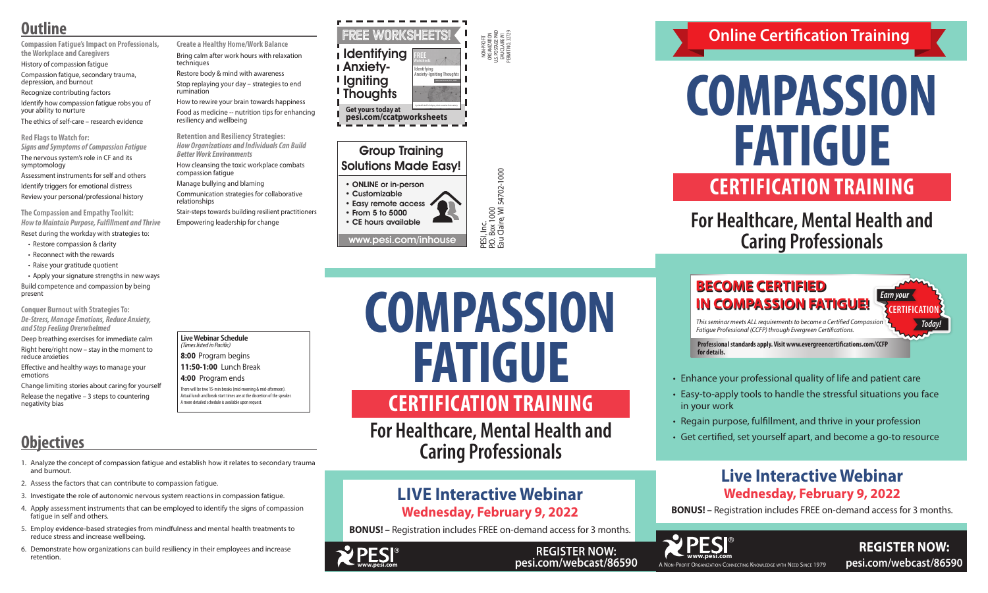NON-PROFIT ORGANIZATION U.S. POSTAGE PAID EAU CLAIRE WI PERMIT NO. 32729

PESI, Inc.<br>P.O. Box 1000<br>Eau Claire, Wl 54702-1000 P.O. Box 1000 Eau Claire, WI 54702-1000

# Group Training Solutions Made Easy!

- ONLINE or in-person
- Customizable • Easy remote access • From 5 to 5000

• CE hours available

www.pesi.com/inhouse

**Live Webinar Schedule**

### *(Times listed in Pacific)* **8:00** Program begins

## **11:50-1:00** Lunch Break

**4:00** Program ends

There will be two 15-min breaks (mid-morning & mid-afternoon). Actual lunch and break start times are at the discretion of the speaker. A more detailed schedule is available upon request.

*Fatigue Professional (CCFP) through Evergreen Certifications.*

### **BECOME CERTIFIED IN COMPASSION FATIGUE!** *This seminar meets ALL requirements to become a Certified Compassion Earn your Today!* **CERTIFICATION**

**Professional standards apply. Visit www.evergreencertifications.com/CCFP for details.** 

**Online Certification Training**

# **For Healthcare, Mental Health and Caring Professionals**

# **COMPASSION FATIGUE CERTIFICATION TRAINING**

• Enhance your professional quality of life and patient care

• Easy-to-apply tools to handle the stressful situations you face in your work

• Regain purpose, fulfillment, and thrive in your profession

• Get certified, set yourself apart, and become a go-to resource



**REGISTER NOW: pesi.com/webcast/86590**

# **Live Interactive Webinar Wednesday, February 9, 2022**

**BONUS! –** Registration includes FREE on-demand access for 3 months.

# **COMPASSION FATIGUE**

**For Healthcare, Mental Health and Caring Professionals**

### **Create a Healthy Home/Work Balance** Bring calm after work hours with relaxation techniques

# **CERTIFICATION TRAINING**



**REGISTER NOW: pesi.com/webcast/86590**



| <b>FREE WORKSHEETS!</b>                                                                                      |                                                                                          |
|--------------------------------------------------------------------------------------------------------------|------------------------------------------------------------------------------------------|
| Identifying<br><b>I Anxiety-</b><br><b>I</b> Igniting<br><b>Thoughts</b>                                     | Vorksheets<br>Identifying<br>Anxiety-Igniting Thoughts<br>Catherine Pittman, Ph.D., HSFF |
| A printable tool for helping clients examine their anxiety<br>Get yours today at<br>pesi.com/ccatpworksheets |                                                                                          |

# **Outline**

- **Compassion Fatigue's Impact on Professionals, the Workplace and Caregivers**
- History of compassion fatigue
- Compassion fatigue, secondary trauma, depression, and burnout
- Recognize contributing factors
- Identify how compassion fatigue robs you of your ability to nurture
- The ethics of self-care research evidence
- **Red Flags to Watch for:** *Signs and Symptoms of Compassion Fatigue* The nervous system's role in CF and its symptomology
- Assessment instruments for self and others
- Identify triggers for emotional distress
- Review your personal/professional history

**The Compassion and Empathy Toolkit:** *How to Maintain Purpose, Fulfillment and Thrive*

Reset during the workday with strategies to: • Restore compassion & clarity

- Reconnect with the rewards
- Raise your gratitude quotient
- Apply your signature strengths in new ways Build competence and compassion by being present

**Conquer Burnout with Strategies To:** *De-Stress, Manage Emotions, Reduce Anxiety, and Stop Feeling Overwhelmed* 

Deep breathing exercises for immediate calm Right here/right now – stay in the moment to reduce anxieties

Effective and healthy ways to manage your emotions

Change limiting stories about caring for yourself Release the negative – 3 steps to countering negativity bias

- Restore body & mind with awareness Stop replaying your day – strategies to end rumination
- How to rewire your brain towards happiness Food as medicine -- nutrition tips for enhancing resiliency and wellbeing

**Retention and Resiliency Strategies:**  *How Organizations and Individuals Can Build Better Work Environments*

How cleansing the toxic workplace combats compassion fatigue

- Manage bullying and blaming
- Communication strategies for collaborative relationships
- Stair-steps towards building resilient practitioners Empowering leadership for change

# **Objectives**

- 1. Analyze the concept of compassion fatigue and establish how it relates to secondary trauma and burnout.
- 2. Assess the factors that can contribute to compassion fatigue.
- 3. Investigate the role of autonomic nervous system reactions in compassion fatigue.
- 4. Apply assessment instruments that can be employed to identify the signs of compassion fatigue in self and others.
- 5. Employ evidence-based strategies from mindfulness and mental health treatments to reduce stress and increase wellbeing.
- 6. Demonstrate how organizations can build resiliency in their employees and increase retention.

- 
- 
- 
- 
- 

# **LIVE Interactive Webinar Wednesday, February 9, 2022**

**BONUS! –** Registration includes FREE on-demand access for 3 months.